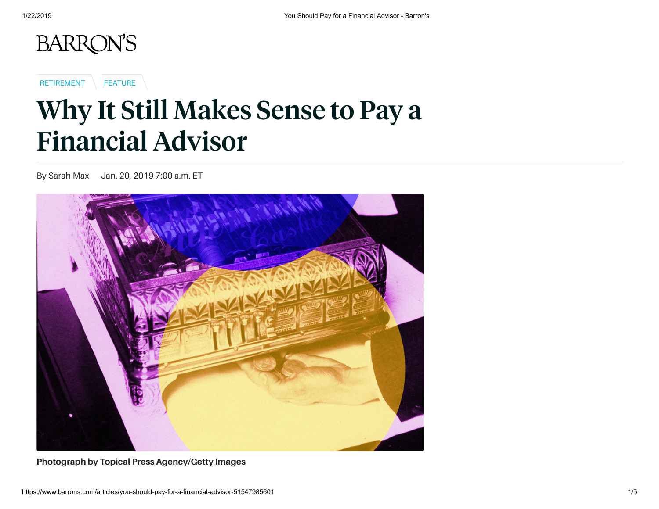

[RETIREMENT](http://www.barrons.com/topics/retirement?mod=article_flashline) | [FEATURE](http://www.barrons.com/topics/feature?mod=article_flashline)

## Why It Still Makes Sense to Pay a Financial Advisor

By Sarah Max Jan. 20, 2019 7:00 a.m. ET



**Photograph by Topical Press Agency/Getty Images**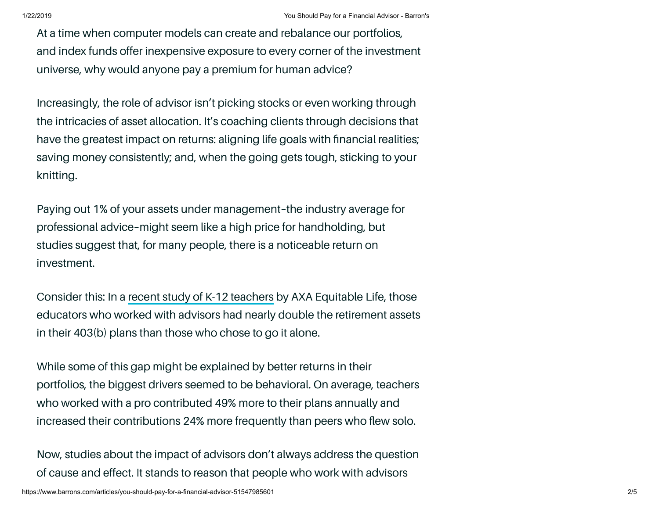At a time when computer models can create and rebalance our portfolios, and index funds offer inexpensive exposure to every corner of the investment universe, why would anyone pay a premium for human advice?

Increasingly, the role of advisor isn't picking stocks or even working through the intricacies of asset allocation. It's coaching clients through decisions that have the greatest impact on returns: aligning life goals with financial realities; saving money consistently; and, when the going gets tough, sticking to your knitting.

Paying out 1% of your assets under management–the industry average for professional advice–might seem like a high price for handholding, but studies suggest that, for many people, there is a noticeable return on investment.

Consider this: In a recent study of K-12 [teachers](https://us.axa.com/news/403b-advisor-value/?mod=article_inline) by AXA Equitable Life, those educators who worked with advisors had nearly double the retirement assets in their 403(b) plans than those who chose to go it alone.

While some of this gap might be explained by better returns in their portfolios, the biggest drivers seemed to be behavioral. On average, teachers who worked with a pro contributed 49% more to their plans annually and increased their contributions 24% more frequently than peers who flew solo.

Now, studies about the impact of advisors don't always address the question of cause and effect. It stands to reason that people who work with advisors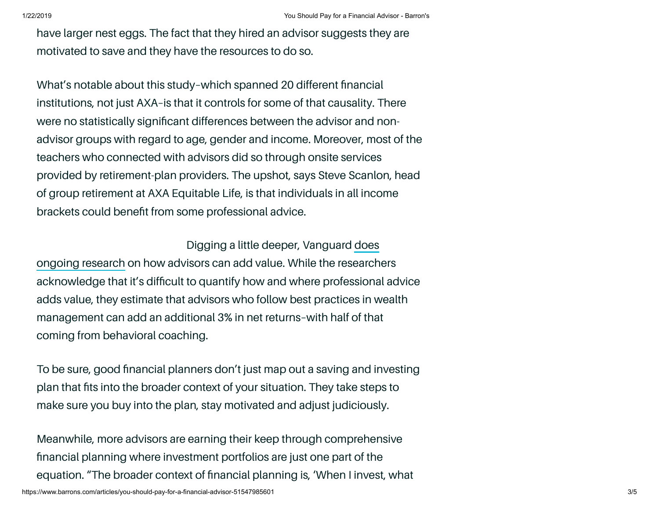have larger nest eggs. The fact that they hired an advisor suggests they are motivated to save and they have the resources to do so.

What's notable about this study–which spanned 20 different financial institutions, not just AXA–is that it controls for some of that causality. There were no statistically significant differences between the advisor and nonadvisor groups with regard to age, gender and income. Moreover, most of the teachers who connected with advisors did so through onsite services provided by retirement-plan providers. The upshot, says Steve Scanlon, head of group retirement at AXA Equitable Life, is that individuals in all income brackets could benefit from some professional advice.

Digging a little deeper, [Vanguard](https://advisors.vanguard.com/VGApp/iip/site/advisor/researchcommentary?page=AdvisorAlpha&mod=article_inline) does ongoing research on how advisors can add value. While the researchers acknowledge that it's difficult to quantify how and where professional advice adds value, they estimate that advisors who follow best practices in wealth management can add an additional 3% in net returns–with half of that coming from behavioral coaching.

To be sure, good financial planners don't just map out a saving and investing plan that fits into the broader context of your situation. They take steps to make sure you buy into the plan, stay motivated and adjust judiciously.

Meanwhile, more advisors are earning their keep through comprehensive financial planning where investment portfolios are just one part of the equation. "The broader context of financial planning is, 'When I invest, what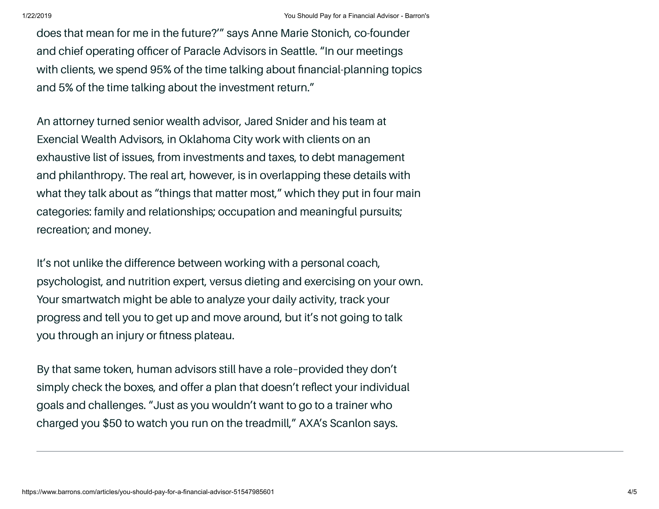does that mean for me in the future?'" says Anne Marie Stonich, co-founder and chief operating officer of Paracle Advisors in Seattle. "In our meetings with clients, we spend 95% of the time talking about financial-planning topics and 5% of the time talking about the investment return."

An attorney turned senior wealth advisor, Jared Snider and his team at Exencial Wealth Advisors, in Oklahoma City work with clients on an exhaustive list of issues, from investments and taxes, to debt management and philanthropy. The real art, however, is in overlapping these details with what they talk about as "things that matter most," which they put in four main categories: family and relationships; occupation and meaningful pursuits; recreation; and money.

It's not unlike the difference between working with a personal coach, psychologist, and nutrition expert, versus dieting and exercising on your own. Your smartwatch might be able to analyze your daily activity, track your progress and tell you to get up and move around, but it's not going to talk you through an injury or fitness plateau.

By that same token, human advisors still have a role–provided they don't simply check the boxes, and offer a plan that doesn't reflect your individual goals and challenges. "Just as you wouldn't want to go to a trainer who charged you \$50 to watch you run on the treadmill," AXA's Scanlon says.